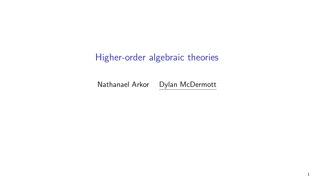# Higher-order algebraic theories

Nathanael Arkor Dylan McDermott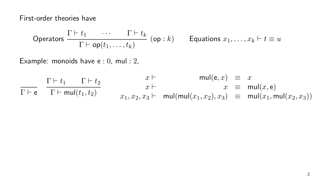First-order theories have

$$
\text{Operations } \frac{\Gamma \vdash t_1 \qquad \cdots \qquad \Gamma \vdash t_k}{\Gamma \vdash \text{op}(t_1, \ldots, t_k)} \text{ (op : } k \text{)} \qquad \text{Equations } x_1, \ldots, x_k \vdash t \equiv u
$$

Example: monoids have e : 0, mul : 2,

$$
\frac{\Gamma \vdash t_1 \quad \Gamma \vdash t_2}{\Gamma \vdash \mathbf{e}} \quad \frac{x \vdash}{x \vdash \mathbf{mul}(t_1, t_2)} \quad \begin{array}{rcl}\nx \vdash & & \mathbf{mul}(\mathbf{e}, x) &\equiv & x \\
x \vdash & & x &\equiv & \mathbf{mul}(x, \mathbf{e}) \\
x_1, x_2, x_3 \vdash & & \mathbf{mul}(\mathbf{mul}(x_1, x_2), x_3) &\equiv & \mathbf{mul}(x_1, \mathbf{mul}(x_2, x_3))\n\end{array}
$$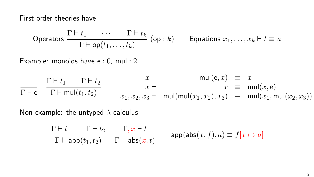First-order theories have

$$
\text{Operations } \frac{\Gamma \vdash t_1 \qquad \cdots \qquad \Gamma \vdash t_k}{\Gamma \vdash \textsf{op}(t_1, \ldots, t_k)} \text{ (op : } k \text{)} \qquad \textsf{Equations } x_1, \ldots, x_k \vdash t \equiv u
$$

Example: monoids have e : 0, mul : 2,

$$
\frac{\Gamma \vdash t_1 \quad \Gamma \vdash t_2}{\Gamma \vdash \mathsf{mul}(t_1, t_2)} \qquad \begin{array}{c}\n x \vdash \\
 x \vdash \\
 x_1, x_2, x_3 \vdash \\
 x_1, x_2, x_3 \vdash \\
 x_2 \vdash \\
 x_3 \vdash \\
 x_3 \vdash \\
 x_4 \vdash \\
 x_5 \vdash \\
 x_6 \vdash \\
 x_7 \vdash \\
 x_8 \vdash \\
 x_9 \vdash \\
 x_1, x_2 \vdash \\
 x_3 \vdash \\
 x_4 \vdash \\
 x_5 \vdash \\
 x_6 \vdash \\
 x_7 \vdash \\
 x_8 \vdash \\
 x_9 \vdash \\
 x_1, x_2, x_3 \vdash \\
 x_1, x_2, x_3 \vdash \\
 x_1, x_2, x_3 \vdash \\
 x_1, x_2, x_3 \vdash \\
 x_1, x_2, x_3 \vdash \\
 x_1, x_2, x_3 \vdash \\
 x_1, x_2, x_3 \vdash \\
 x_1, x_2, x_3 \vdash \\
 x_1, x_2, x_3 \vdash \\
 x_1, x_2, x_3 \vdash \\
 x_1, x_2, x_3 \vdash \\
 x_1, x_2, x_3 \vdash \\
 x_1, x_2, x_3 \vdash \\
 x_1, x_2, x_3 \vdash \\
 x_1, x_2, x_3 \vdash \\
 x_1, x_2, x_3 \vdash \\
 x_1, x_2, x_3 \vdash \\
 x_1, x_2, x_3 \vdash \\
 x_1, x_2, x_3 \vdash \\
 x_1, x_2, x_3 \vdash \\
 x_1, x_2, x_3 \vdash \\
 x_1, x_2, x_3 \vdash \\
 x_1, x_2, x_3 \vdash \\
 x_1, x_2, x_3 \vdash \\
 x_1, x_2, x_3 \vdash \\
 x_1, x_2, x_3 \vdash \\
 x_1, x_2, x_3 \vdash \\
 x_1, x_2, x_3 \vdash \\
 x_1, x_2, x_3 \vdash \\
 x_1, x_2, x_3 \vdash \\
 x_1, x_2, x_3 \vdash \\
 x_1, x_2, x_3 \vdash \\
 x_1, x_2, x_3 \vdash \\
 x_1, x_2, x_3 \vdash \\
 x_1, x_2, x_3 \vdash \\
 x_1, x_2, x_3 \vdash \\
 x_1, x_
$$

Non-example: the untyped *λ*-calculus

$$
\frac{\Gamma \vdash t_1 \qquad \Gamma \vdash t_2}{\Gamma \vdash \mathsf{app}(t_1, t_2)} \quad \frac{\Gamma, x \vdash t}{\Gamma \vdash \mathsf{abs}(x. t)} \qquad \mathsf{app}(\mathsf{abs}(x. f), a) \equiv f[x \mapsto a]
$$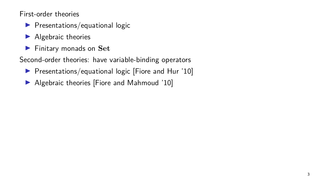First-order theories

- ▶ Presentations/equational logic
- ▶ Algebraic theories
- ▶ Finitary monads on **Set**

Second-order theories: have variable-binding operators

- ▶ Presentations/equational logic [Fiore and Hur '10]
- ▶ Algebraic theories [Fiore and Mahmoud '10]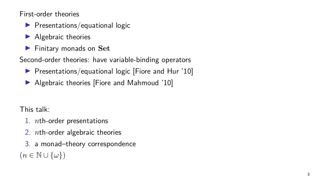First-order theories

- $\blacktriangleright$  Presentations/equational logic
- $\blacktriangleright$  Algebraic theories
- ▶ Finitary monads on **Set**

Second-order theories: have variable-binding operators

- ▶ Presentations/equational logic [Fiore and Hur '10]
- ▶ Algebraic theories [Fiore and Mahmoud '10]

This talk:

- 1. *n*th-order presentations
- 2. *n*th-order algebraic theories
- 3. a monad–theory correspondence  $(n ∈ ℕ ∪ {\omega})$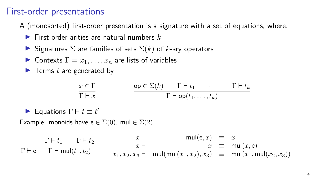### First-order presentations

A (monosorted) first-order presentation is a signature with a set of equations, where:

- ▶ First-order arities are natural numbers *k*
- $\triangleright$  Signatures  $\Sigma$  are families of sets  $\Sigma(k)$  of *k*-ary operators
- ▶ Contexts  $\Gamma = x_1, \ldots, x_n$  are lists of variables
- ▶ Terms *t* are generated by

$$
\cfrac{x \in \Gamma}{\Gamma \vdash x} \qquad \qquad \cfrac{\mathsf{op} \in \Sigma(k) \qquad \Gamma \vdash t_1 \qquad \cdots \qquad \Gamma \vdash t_k}{\Gamma \vdash \mathsf{op}(t_1, \ldots, t_k)}
$$

▶ Equations  $\Gamma \vdash t \equiv t'$ 

Example: monoids have  $e \in \Sigma(0)$ , mul  $\in \Sigma(2)$ ,

 $\Gamma \vdash e$  $\Gamma \vdash t_1$   $\Gamma \vdash t_2$  $\Gamma\vdash \mathsf{mul}(t_1, t_2)$  $x \vdash$  mul $(e, x) \equiv x$  $x \vdash x \equiv \text{mul}(x, \text{e})$  $x_1, x_2, x_3 \vdash \text{mul}(\text{mul}(x_1, x_2), x_3) \equiv \text{mul}(x_1, \text{mul}(x_2, x_3))$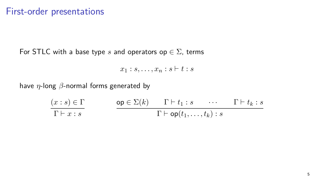For STLC with a base type *s* and operators op *∈* Σ, terms

 $x_1 : s, \ldots, x_n : s \vdash t : s$ 

have *η*-long *β*-normal forms generated by

$$
\frac{(x:s) \in \Gamma}{\Gamma \vdash x:s} \qquad \qquad \frac{\mathsf{op} \in \Sigma(k) \qquad \Gamma \vdash t_1:s \qquad \cdots \qquad \Gamma \vdash t_k:s}{\Gamma \vdash \mathsf{op}(t_1,\ldots,t_k):s}
$$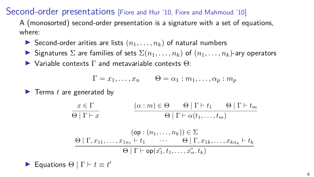Second-order presentations [Fiore and Hur '10, Fiore and Mahmoud '10]

A (monosorted) second-order presentation is a signature with a set of equations, where:

- $\triangleright$  Second-order arities are lists  $(n_1, \ldots, n_k)$  of natural numbers
- ▶ Signatures  $\Sigma$  are families of sets  $\Sigma(n_1, \ldots, n_k)$  of  $(n_1, \ldots, n_k)$ -ary operators

 $\triangleright$  Variable contexts  $\Gamma$  and metavariable contexts  $\Theta$ :

$$
\Gamma = x_1, \dots, x_n \qquad \Theta = \alpha_1 : m_1, \dots, \alpha_p : m_p
$$

▶ Terms *t* are generated by

$$
\begin{array}{c}\n x \in \Gamma \\
 \hline\n\Theta \mid \Gamma \vdash x\n\end{array}\n\qquad\n\begin{array}{c}\n (\alpha : m) \in \Theta \qquad \Theta \mid \Gamma \vdash t_1 \qquad \Theta \mid \Gamma \vdash t_m \\
 \hline\n\Theta \mid \Gamma \vdash \alpha(t_1, \ldots, t_m)\n\end{array}
$$
\n
$$
\begin{array}{c}\n (\text{op} : (n_1, \ldots, n_k)) \in \Sigma \\
 \hline\n\Theta \mid \Gamma, x_{11}, \ldots, x_{1n_1} \vdash t_1 \qquad \cdots \qquad \Theta \mid \Gamma, x_{1k}, \ldots, x_{kn_k} \vdash t_k \\
 \hline\n \Theta \mid \Gamma \vdash \text{op}(x_1^*, t_1, \ldots, x_n^*, t_k)\n\end{array}
$$

▶ Equations  $\Theta$   $\mid \Gamma \vdash t \equiv t'$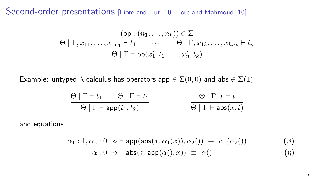Second-order presentations [Fiore and Hur '10, Fiore and Mahmoud '10]

$$
(\mathsf{op} : (n_1, \ldots, n_k)) \in \Sigma
$$
  
\n
$$
\Theta | \Gamma, x_{11}, \ldots, x_{1n_1} \vdash t_1 \qquad \cdots \qquad \Theta | \Gamma, x_{1k}, \ldots, x_{kn_k} \vdash t_n
$$
  
\n
$$
\Theta | \Gamma \vdash \mathsf{op}(x_1^*, t_1, \ldots, x_n^*, t_k)
$$

Example: untyped *λ*-calculus has operators app  $\in \Sigma(0,0)$  and abs  $\in \Sigma(1)$ 

$$
\frac{\Theta \mid \Gamma \vdash t_1 \qquad \Theta \mid \Gamma \vdash t_2}{\Theta \mid \Gamma \vdash \mathsf{app}(t_1, t_2)} \qquad \qquad \frac{\Theta \mid \Gamma, x \vdash t}{\Theta \mid \Gamma \vdash \mathsf{abs}(x. t)}
$$

and equations

$$
\alpha_1: 1, \alpha_2: 0 \mid \diamond \vdash \mathsf{app}(\mathsf{abs}(x. \alpha_1(x)), \alpha_2()) \equiv \alpha_1(\alpha_2()) \qquad (\beta)
$$
  

$$
\alpha: 0 \mid \diamond \vdash \mathsf{abs}(x. \mathsf{app}(\alpha(), x)) \equiv \alpha()
$$
 (7)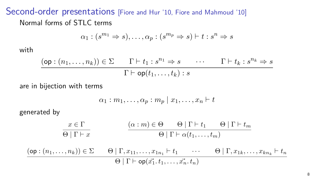### Second-order presentations [Fiore and Hur '10, Fiore and Mahmoud '10] Normal forms of STLC terms

$$
\alpha_1 : (s^{m_1} \Rightarrow s), \dots, \alpha_p : (s^{m_p} \Rightarrow s) \vdash t : s^n \Rightarrow s
$$

with

$$
\frac{(\mathsf{op}:(n_1,\ldots,n_k))\in\Sigma\qquad\Gamma\vdash t_1:s^{n_1}\Rightarrow s\qquad\cdots\qquad\Gamma\vdash t_k:s^{n_k}\Rightarrow s}{\Gamma\vdash\mathsf{op}(t_1,\ldots,t_k):s}
$$

are in bijection with terms

$$
\alpha_1:m_1,\ldots,\alpha_p:m_p\mid x_1,\ldots,x_n\vdash t
$$

generated by

$$
\frac{x \in \Gamma}{\Theta \mid \Gamma \vdash x} \qquad \qquad \frac{(\alpha : m) \in \Theta \qquad \Theta \mid \Gamma \vdash t_1 \qquad \Theta \mid \Gamma \vdash t_m}{\Theta \mid \Gamma \vdash \alpha(t_1, \dots, t_m)}
$$
\n
$$
\frac{(\mathsf{op} : (n_1, \dots, n_k)) \in \Sigma \qquad \Theta \mid \Gamma, x_{11}, \dots, x_{1n_1} \vdash t_1 \qquad \cdots \qquad \Theta \mid \Gamma, x_{1k}, \dots, x_{kn_k} \vdash t_n}{\Theta \mid \Gamma \vdash \mathsf{op}(\vec{x_1}, t_1, \dots, \vec{x_n}, t_n)}
$$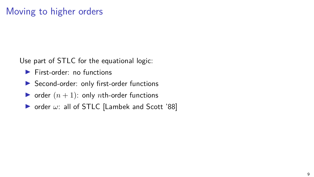# Moving to higher orders

Use part of STLC for the equational logic:

- ▶ First-order: no functions
- ▶ Second-order: only first-order functions
- $\triangleright$  order  $(n + 1)$ : only *n*th-order functions
- ▶ order *ω*: all of STLC [Lambek and Scott '88]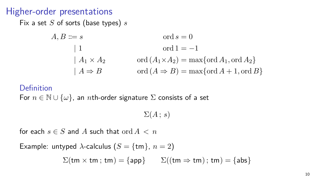### Higher-order presentations

Fix a set *S* of sorts (base types) *s*

$$
A, B ::= s \qquad \text{ord } s = 0
$$
  
\n
$$
| 1 \qquad \text{ord } 1 = -1
$$
  
\n
$$
| A_1 \times A_2 \qquad \text{ord } (A_1 \times A_2) = \max \{ \text{ord } A_1, \text{ord } A_2 \}
$$
  
\n
$$
| A \Rightarrow B \qquad \text{ord } (A \Rightarrow B) = \max \{ \text{ord } A + 1, \text{ord } B \}
$$

#### Definition

For  $n \in \mathbb{N} \cup \{\omega\}$ , an *n*th-order signature  $\Sigma$  consists of a set

 $\Sigma(A:s)$ 

for each  $s \in S$  and A such that ord  $A < n$ 

Example: untyped  $\lambda$ -calculus ( $S = \{tm\}$ ,  $n = 2$ )

 $\Sigma$ (tm  $\times$  tm; tm) = {app}  $\Sigma$ ((tm  $\Rightarrow$  tm); tm) = {abs}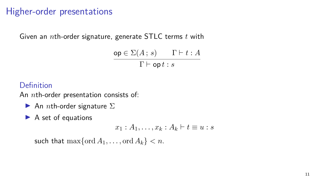# Higher-order presentations

Given an *n*th-order signature, generate STLC terms *t* with

$$
\frac{\mathsf{op} \in \Sigma(A \,;\, s)}{\Gamma \vdash \mathsf{op} \,t : s}
$$

Definition

An *n*th-order presentation consists of:

- An *n*th-order signature  $\Sigma$
- ▶ A set of equations

$$
x_1 : A_1, \ldots, x_k : A_k \vdash t \equiv u : s
$$

such that  $\max{\lbrace \text{ord } A_1, \ldots, \text{ord } A_k \rbrace} < n$ .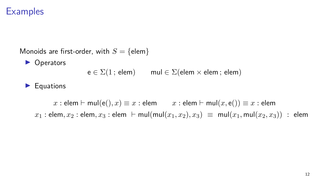Monoids are first-order, with  $S = \{$ elem $\}$ ▶ Operators e *∈* Σ(1 ; elem) mul *∈* Σ(elem *×* elem ; elem) ▶ Equations  $x :$  elem  $\vdash$  mul(e(),  $x) \equiv x :$  elem  $x :$  elem  $\vdash$  mul( $x$ , e())  $\equiv x :$  elem  $x_1 :$  elem,  $x_2 :$  elem,  $x_3 :$  elem  $\vdash$  mul(mul( $x_1, x_2$ ),  $x_3) \equiv$  mul( $x_1$ , mul( $x_2, x_3$ )) : elem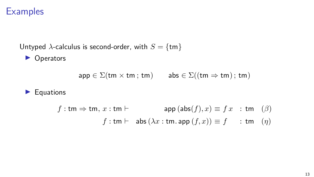Untyped  $\lambda$ -calculus is second-order, with  $S = \{tm\}$ 

▶ Operators

$$
\mathsf{app} \in \Sigma(\mathsf{tm}\times\mathsf{tm}\,;\,\mathsf{tm})\qquad\mathsf{abs}\in\Sigma((\mathsf{tm}\Rightarrow\mathsf{tm})\,;\,\mathsf{tm})
$$

#### ▶ Equations

$$
f: \mathsf{tm} \Rightarrow \mathsf{tm}, \, x: \mathsf{tm} \vdash \qquad \qquad \mathsf{app} \, (\mathsf{abs}(f), x) \equiv f \, x \quad : \mathsf{tm} \quad (\beta) \\ f: \mathsf{tm} \vdash \quad \mathsf{abs} \, (\lambda x: \mathsf{tm}.\mathsf{app} \, (f,x)) \equiv f \qquad : \mathsf{tm} \quad (\eta)
$$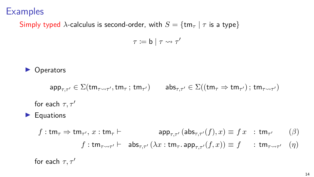Simply typed *λ*-calculus is second-order, with  $S = \{tm_\tau \mid \tau \text{ is a type}\}\$ 

*τ* := **b**  $|$  *τ*  $\rightsquigarrow$  *τ'* 

**Operators** 

$$
\mathsf{app}_{\tau,\tau'} \in \Sigma(\mathsf{tm}_{\tau \leadsto \tau'}, \mathsf{tm}_{\tau} \, ; \, \mathsf{tm}_{\tau'}) \qquad \mathsf{abs}_{\tau,\tau'} \in \Sigma((\mathsf{tm}_{\tau} \Rightarrow \mathsf{tm}_{\tau'}) \, ; \, \mathsf{tm}_{\tau \leadsto \tau'})
$$
\n
$$
\text{for each } \tau, \tau'
$$
\n
$$
\blacktriangleright \text{ Equations}
$$
\n
$$
f: \mathsf{tm}_{\tau} \Rightarrow \mathsf{tm}_{\tau'}, x: \mathsf{tm}_{\tau} \vdash \text{app}_{\tau,\tau'} (\mathsf{abs}_{\tau,\tau'}(f), x) \equiv f \quad : \mathsf{tm}_{\tau'} \qquad (\beta)
$$
\n
$$
f: \mathsf{tm}_{\tau \leadsto \tau'} \vdash \text{abs}_{\tau,\tau'} (\lambda x: \mathsf{tm}_{\tau}. \mathsf{app}_{\tau,\tau'}(f, x)) \equiv f \qquad : \mathsf{tm}_{\tau \leadsto \tau'} \qquad (\eta)
$$

for each  $\tau, \tau'$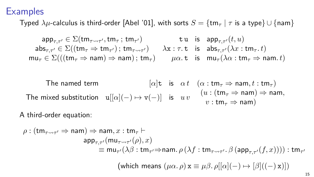Typed  $\lambda \mu$ -calculus is third-order [Abel '01], with sorts  $S = \{tm_{\tau} | \tau \text{ is a type}\}\cup \{nam\}$ 

$$
\mathsf{ap}_{\tau,\tau'} \in \Sigma(\mathsf{tm}_{\tau \leadsto \tau'},\mathsf{tm}_{\tau} ; \mathsf{tm}_{\tau'}) \qquad \mathsf{tu} \quad \mathsf{is} \quad \mathsf{app}_{\tau,\tau'}(t,u) \n\mathsf{abs}_{\tau,\tau'} \in \Sigma((\mathsf{tm}_{\tau} \Rightarrow \mathsf{tm}_{\tau'}) ; \mathsf{tm}_{\tau \leadsto \tau'}) \qquad \lambda \mathsf{x} : \tau.\mathsf{t} \quad \mathsf{is} \quad \mathsf{abs}_{\tau,\tau'}(\lambda x : \mathsf{tm}_{\tau}.t) \n\mathsf{mu}_{\tau} \in \Sigma(((\mathsf{tm}_{\tau} \Rightarrow \mathsf{nam}) \Rightarrow \mathsf{nam}) ; \mathsf{tm}_{\tau}) \qquad \mu \alpha.\mathsf{t} \quad \mathsf{is} \quad \mathsf{mu}_{\tau}(\lambda \alpha : \mathsf{tm}_{\tau} \Rightarrow \mathsf{nam}.t)
$$

The named term 
$$
[\alpha] \mathbf{t} \text{ is } \alpha t \quad (\alpha : \mathsf{tm}_{\tau} \Rightarrow \mathsf{nam}, t : \mathsf{tm}_{\tau})
$$
  
The mixed substitution  $\mathbf{u}[[\alpha](-) \mapsto \mathbf{v}(-)]$  is  $uv \quad (u : (\mathsf{tm}_{\tau} \Rightarrow \mathsf{nam}) \Rightarrow \mathsf{nam},$   
 $v : \mathsf{tm}_{\tau} \Rightarrow \mathsf{nam})$ 

A third-order equation:

$$
\begin{aligned} \rho: (\mathsf{tm}_{\tau \leadsto \tau'} \Rightarrow \mathsf{nam}) & \Rightarrow \mathsf{nam}, x : \mathsf{tm}_{\tau} \vdash \\ \mathsf{app}_{\tau, \tau'}(\mathsf{mu}_{\tau \leadsto \tau'}(\rho), x) \\ & \equiv \mathsf{mu}_{\tau'}(\lambda \beta : \mathsf{tm}_{\tau'} \Rightarrow \mathsf{nam}.~\rho \left( \lambda f : \mathsf{tm}_{\tau \leadsto \tau'}.~\beta \left( \mathsf{app}_{\tau, \tau'}(f, x) \right) \right) ) : \mathsf{tm}_{\tau'} \\ (\mathsf{which~means}~(\mu \alpha.\, \rho) \, \mathsf{x} \equiv \mu \beta.\, \rho[[\alpha](-) \mapsto [\beta]((-)\, \mathsf{x})]) \end{aligned}
$$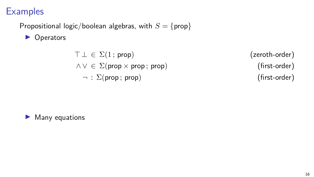Propositional logic/boolean algebras, with  $S = \{ \text{prop} \}$ 

▶ Operators

$$
\top \bot \in \Sigma(1; \text{prop})
$$
  

$$
\land \lor \in \Sigma(\text{prop} \times \text{prop}; \text{prop})
$$
  

$$
\neg : \Sigma(\text{prop}; \text{prop})
$$

 $($  zeroth-order) *∧ ∨ ∈* Σ(prop *×* prop ; prop) (first-order)  $(first-order)$ 

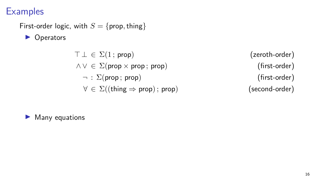### First-order logic, with  $S = \{ \text{prop}, \text{thing} \}$

▶ Operators

 $\top \bot \in \Sigma(1; \text{prop})$  (zeroth-order)  $\land$  *∨* ∈ ∑(prop × prop; prop) (first-order) *¬* : Σ(prop ; prop) (first-order) *∀ ∈* Σ((thing *⇒* prop) ; prop) (second-order)

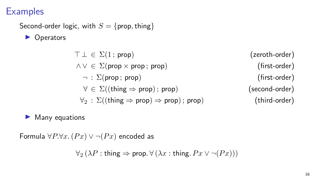# Second-order logic, with  $S = \{ \text{prop}, \text{thing} \}$

▶ Operators

 $\top \bot \in \Sigma(1; \text{prop})$  (zeroth-order)  $∧ ∨ ∈ Σ(prop × prop; prop)$  (first-order) *¬* : Σ(prop ; prop) (first-order) *∀ ∈* Σ((thing *⇒* prop) ; prop) (second-order) *∀*<sup>2</sup> : Σ((thing *⇒* prop) *⇒* prop) ; prop) (third-order)

### Many equations

Formula  $\forall P.\forall x. (Px) \lor \neg(Px)$  encoded as

$$
\forall_2 (\lambda P : \mathsf{thing} \Rightarrow \mathsf{prop} . \forall (\lambda x : \mathsf{thing} . \, Px \vee \neg (Px)))
$$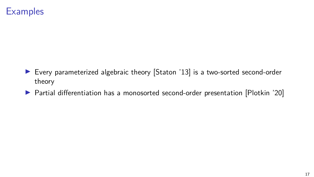- ▶ Every parameterized algebraic theory [Staton '13] is a two-sorted second-order theory
- ▶ Partial differentiation has a monosorted second-order presentation [Plotkin '20]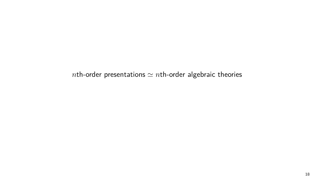*nth-order presentations*  $\simeq$  *nth-order algebraic theories*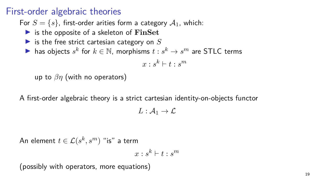### First-order algebraic theories

For  $S = \{s\}$ , first-order arities form a category  $A_1$ , which:

- ▶ is the opposite of a skeleton of **FinSet**
- ▶ is the free strict cartesian category on *S*

▶ has objects  $s^k$  for  $k \in \mathbb{N}$ , morphisms  $t:s^k \to s^m$  are <code>STLC</code> terms

 $x : s^k \vdash t : s^m$ 

up to *βη* (with no operators)

A first-order algebraic theory is a strict cartesian identity-on-objects functor

 $L: \mathcal{A}_1 \to \mathcal{L}$ 

 $\mathsf{An}$  element  $t \in \mathcal{L}(s^k,s^m)$  "is" a term

$$
x:s^k\vdash t:s^m
$$

(possibly with operators, more equations)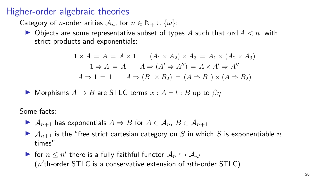### Higher-order algebraic theories

Category of *n*-order arities  $A_n$ , for  $n \in \mathbb{N}_+ \cup \{\omega\}$ :

 $\blacktriangleright$  Objects are some representative subset of types A such that ord  $A < n$ , with strict products and exponentials:

$$
1 \times A = A = A \times 1 \qquad (A_1 \times A_2) \times A_3 = A_1 \times (A_2 \times A_3)
$$
  

$$
1 \Rightarrow A = A \qquad A \Rightarrow (A' \Rightarrow A'') = A \times A' \Rightarrow A''
$$
  

$$
A \Rightarrow 1 = 1 \qquad A \Rightarrow (B_1 \times B_2) = (A \Rightarrow B_1) \times (A \Rightarrow B_2)
$$

▶ Morphisms  $A \rightarrow B$  are STLC terms  $x : A \vdash t : B$  up to  $\beta n$ 

Some facts:

- ▶  $\mathcal{A}_{n+1}$  has exponentials  $A \Rightarrow B$  for  $A \in \mathcal{A}_n$ ,  $B \in \mathcal{A}_{n+1}$
- $\blacktriangleright$   $\mathcal{A}_{n+1}$  is the "free strict cartesian category on *S* in which *S* is exponentiable *n* times"
- $\blacktriangleright$  for  $n \leq n'$  there is a fully faithful functor  $\mathcal{A}_n \hookrightarrow \mathcal{A}_{n'}$  $(n<sup>'</sup>th-order STLC is a conservative extension of *n*th-order STLC)$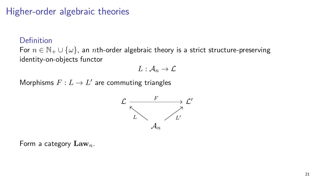### Higher-order algebraic theories

#### Definition

For *n ∈* N<sup>+</sup> *∪ {ω}*, an *n*th-order algebraic theory is a strict structure-preserving identity-on-objects functor

$$
L: \mathcal{A}_n \to \mathcal{L}
$$

 $\operatorname{\mathsf{Morphisms}}\nolimits F:L\to L'$  are commuting triangles



Form a category **Law***n*.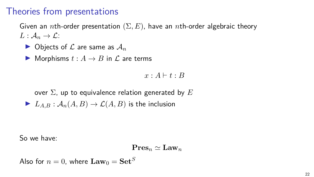## Theories from presentations

Given an *n*th-order presentation (Σ*, E*), have an *n*th-order algebraic theory  $L: \mathcal{A}_n \to \mathcal{L}$ 

- $\blacktriangleright$  Objects of  $\mathcal L$  are same as  $\mathcal A_n$
- ▶ Morphisms  $t : A \rightarrow B$  in  $\mathcal L$  are terms

 $x \cdot A \vdash t \cdot B$ 

over Σ, up to equivalence relation generated by *E*  $\blacktriangleright$  *L*<sub>A,B</sub> :  $\mathcal{A}_n(A, B) \to \mathcal{L}(A, B)$  is the inclusion

So we have:

$$
\mathbf{Pres}_n\simeq \mathbf{Law}_n
$$

Also for  $n = 0$ , where  $\mathbf{Law}_0 = \mathbf{Set}^S$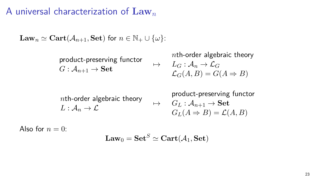## A universal characterization of **Law***<sup>n</sup>*

$$
\mathbf{Law}_n \simeq \mathbf{Cart}(\mathcal{A}_{n+1}, \mathbf{Set}) \text{ for } n \in \mathbb{N}_+ \cup \{\omega\}.
$$

product-preserving functor  $G: \mathcal{A}_{n+1} \to \mathbf{Set}$ *n*th-order algebraic theory  $\mapsto$   $L_G : \mathcal{A}_n \to \mathcal{L}_G$  $\mathcal{L}_G(A, B) = G(A \Rightarrow B)$ 

*n*th-order algebraic theory  $L: \mathcal{A}_n \to \mathcal{L}$ product-preserving functor  $\mapsto$  *G*<sub>*L*</sub> : *A*<sub>*n*+1</sub> → **Set**  $G_L(A \Rightarrow B) = \mathcal{L}(A, B)$ 

Also for  $n = 0$ .

$$
\mathbf{Law}_0 = \mathbf{Set}^S \simeq \mathbf{Cart}(\mathcal{A}_1, \mathbf{Set})
$$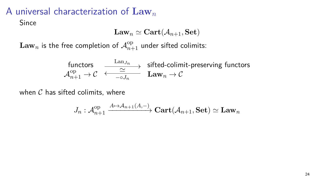# A universal characterization of **Law***<sup>n</sup>*

Since

$$
\mathbf{Law}_n \simeq \mathbf{Cart}(\mathcal{A}_{n+1}, \mathbf{Set})
$$

 $\mathbf{Law}_n$  is the free completion of  $\mathcal{A}_{n+1}^{\rm op}$  under sifted colimits:

$$
\begin{array}{ccc}\n\text{functors} & \xrightarrow{\text{Lan}_{J_n}} & \text{sifted-colimit-preserving functors} \\
\mathcal{A}_{n+1}^{\text{op}} \rightarrow \mathcal{C} & \xleftarrow{-\circ J_n} & \text{Law}_n \rightarrow \mathcal{C}\n\end{array}
$$

when *C* has sifted colimits, where

$$
J_n: \mathcal{A}_{n+1}^{\text{op}}\xrightarrow{A\mapsto\mathcal{A}_{n+1}(A,-)}\mathbf{Cart}(\mathcal{A}_{n+1},\mathbf{Set})\simeq \mathbf{Law}_n
$$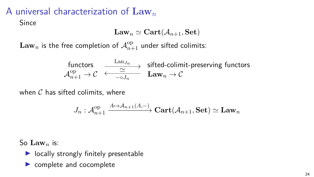# A universal characterization of **Law***<sup>n</sup>*

Since

$$
\mathbf{Law}_n \simeq \mathbf{Cart}(\mathcal{A}_{n+1}, \mathbf{Set})
$$

 $\mathbf{Law}_n$  is the free completion of  $\mathcal{A}_{n+1}^{\rm op}$  under sifted colimits:

$$
\begin{array}{ccc}\n\text{functors} & \xrightarrow{\text{Lan}_{J_n}} & \text{sifted-colimit-preserving functors} \\
\mathcal{A}_{n+1}^{\text{op}} \rightarrow \mathcal{C} & \xleftarrow{-\circ J_n} & \text{Law}_n \rightarrow \mathcal{C}\n\end{array}
$$

when *C* has sifted colimits, where

$$
J_n: \mathcal{A}_{n+1}^{\text{op}}\xrightarrow{A\mapsto\mathcal{A}_{n+1}(A,-)}\mathbf{Cart}(\mathcal{A}_{n+1},\mathbf{Set})\simeq \mathbf{Law}_n
$$

So **Law***<sup>n</sup>* is:

- ▶ locally strongly finitely presentable
- ▶ complete and cocomplete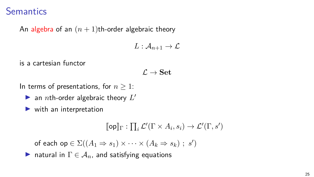### **Semantics**

An algebra of an  $(n + 1)$ th-order algebraic theory

 $L: \mathcal{A}_{n+1} \to \mathcal{L}$ 

is a cartesian functor

 $L \rightarrow$  **Set** 

In terms of presentations, for *n ≥* 1:

 $\blacktriangleright$  an *n*th-order algebraic theory  $L'$ 

 $\blacktriangleright$  with an interpretation

$$
[\![\mathsf{op}]\!]_\Gamma : \prod_i \mathcal{L}'(\Gamma \times A_i, s_i) \to \mathcal{L}'(\Gamma, s')
$$

 $\mathsf{of\,\, each\,\, op} \in \Sigma((A_1 \Rightarrow s_1) \times \cdots \times (A_k \Rightarrow s_k) \; ; \; s')$ 

**▶** natural in  $\Gamma$   $\in$   $\mathcal{A}_n$ , and satisfying equations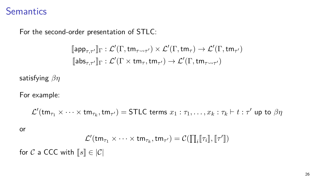### **Semantics**

For the second-order presentation of STLC:

$$
\llbracket \mathsf{app}_{\tau,\tau'} \rrbracket_{\Gamma} : \mathcal{L}'(\Gamma, \mathsf{tm}_{\tau \leadsto \tau'}) \times \mathcal{L}'(\Gamma, \mathsf{tm}_{\tau}) \to \mathcal{L}'(\Gamma, \mathsf{tm}_{\tau'})
$$
  

$$
\llbracket \mathsf{abs}_{\tau,\tau'} \rrbracket_{\Gamma} : \mathcal{L}'(\Gamma \times \mathsf{tm}_{\tau}, \mathsf{tm}_{\tau'}) \to \mathcal{L}'(\Gamma, \mathsf{tm}_{\tau \leadsto \tau'})
$$

satisfying *βη*

For example:

$$
\mathcal{L}'({\sf tm}_{\tau_1}\times\cdots\times{\sf tm}_{\tau_k},{\sf tm}_{\tau'})=\text{\textsf{STLC terms}}\ x_1:\tau_1,\ldots,x_k:\tau_k\vdash t:\tau'\text{ up to }\beta\eta
$$

or

$$
\mathcal{L}'(\mathsf{tm}_{\tau_1} \times \cdots \times \mathsf{tm}_{\tau_k}, \mathsf{tm}_{\tau'}) = \mathcal{C}(\prod_i [\![\tau_i]\!], [\![\tau']\!])
$$

for  $C$  a CCC with  $\llbracket s \rrbracket \in |\mathcal{C}|$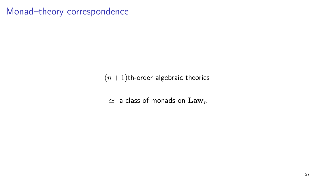### Monad–theory correspondence

 $(n + 1)$ th-order algebraic theories

 $\simeq$   $\,$  a class of monads on  $\, {\rm Law}_n \,$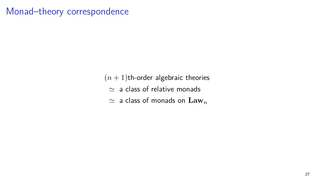# Monad–theory correspondence

 $(n + 1)$ th-order algebraic theories  $\simeq$   $\,$  a class of relative monads  $\simeq$   $\,$  a class of monads on  $\, {\rm Law}_n \,$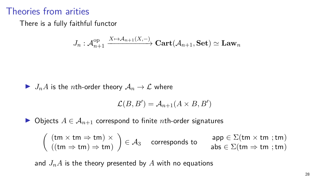### Theories from arities

There is a fully faithful functor

$$
J_n: \mathcal A^{\text{op}}_{n+1} \xrightarrow{X \mapsto \mathcal A_{n+1}(X,-)} \textbf{Cart}(\mathcal A_{n+1},\textbf{Set}) \simeq \textbf{Law}_n
$$

$$
\blacktriangleright J_nA \text{ is the } n\text{th-order theory } A_n \to \mathcal{L} \text{ where }
$$

$$
\mathcal{L}(B, B') = \mathcal{A}_{n+1}(A \times B, B')
$$

▶ Objects  $A \in \mathcal{A}_{n+1}$  correspond to finite *n*th-order signatures

$$
\left(\begin{array}{l l} (tm\times tm\Rightarrow tm)\times \\ ((tm\Rightarrow tm)\Rightarrow tm) \end{array}\right)\in \mathcal{A}_3 \quad \text{ corresponds to} \quad \begin{array}{l l} \text{app}\in \Sigma(tm\times tm\;;tm) \\ \text{abs}\in \Sigma(tm\Rightarrow tm\;;tm) \end{array}
$$

and  $J_nA$  is the theory presented by  $A$  with no equations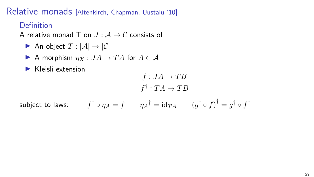Relative monads [Altenkirch, Chapman, Uustalu '10]

### Definition

A relative monad T on  $J : A \rightarrow C$  consists of

An object  $T : |\mathcal{A}| \to |\mathcal{C}|$ 

A morphism 
$$
\eta_X : JA \to TA
$$
 for  $A \in \mathcal{A}$ 

▶ Kleisli extension

 $f:JA\rightarrow TB$  $f^{\dagger}: TA \rightarrow TB$  $f^{\dagger} \circ \eta_{A} = f \qquad \eta_{A}^{\dagger} = \mathrm{id}_{TA} \qquad (g^{\dagger} \circ f)^{\dagger} = g^{\dagger} \circ f^{\dagger}$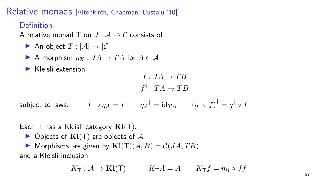Relative monads [Altenkirch, Chapman, Uustalu '10]

### Definition

A relative monad T on  $J : A \rightarrow C$  consists of

▶ An object  $T$  :  $|\mathcal{A}|$  →  $|\mathcal{C}|$ 

A morphism 
$$
\eta_X : JA \to TA
$$
 for  $A \in \mathcal{A}$ 

▶ Kleisli extension

$$
\frac{f:JA\to TB}{f^\dagger:TA\to TB}
$$
\nsubject to laws:

\n
$$
f^\dagger\circ \eta_A = f \qquad \eta_A^\dagger = \mathrm{id}_{TA} \qquad \left(g^\dagger\circ f\right)^\dagger = g^\dagger\circ f^\dagger
$$

Each T has a Kleisli category **Kl**(T):

▶ Objects of **Kl**(T) are objects of *A*

 $\blacktriangleright$  Morphisms are given by  $\mathbf{Kl}(\mathbf{T})(A, B) = \mathcal{C}(JA, TB)$ 

and a Kleisli inclusion

 $K_{\mathsf{T}} : \mathcal{A} \to \mathbf{K} \mathbf{l}(\mathsf{T})$   $K_{\mathsf{T}} A = A$   $K_{\mathsf{T}} f = \eta_B \circ Jf$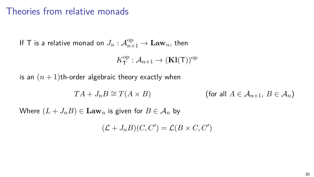### Theories from relative monads

If T is a relative monad on  $J_n: \mathcal{A}_{n+1}^{\mathrm{op}} \to \mathbf{Law}_n$ , then

$$
K^{\mathrm{op}}_{\mathsf{T}}: \mathcal{A}_{n+1} \to (\mathbf{Kl}(\mathsf{T}))^{\mathrm{op}}
$$

is an  $(n + 1)$ th-order algebraic theory exactly when

$$
TA + J_n B \cong T(A \times B) \qquad \qquad \text{(for all } A \in \mathcal{A}_{n+1}, B \in \mathcal{A}_n)
$$

Where  $(L + J_n B) \in \mathbf{Law}_n$  is given for  $B \in \mathcal{A}_n$  by

$$
(\mathcal{L} + J_n B)(C, C') = \mathcal{L}(B \times C, C')
$$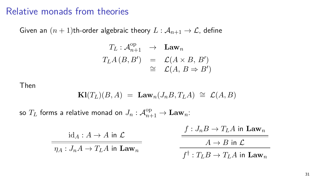### Relative monads from theories

Given an  $(n + 1)$ th-order algebraic theory  $L : A_{n+1} \to \mathcal{L}$ , define

$$
T_L: \mathcal{A}_{n+1}^{\text{op}} \to \text{Law}_n
$$
  

$$
T_L A (B, B') = \mathcal{L}(A \times B, B')
$$
  

$$
\cong \mathcal{L}(A, B \Rightarrow B')
$$

Then

$$
\mathbf{Kl}(T_L)(B,A) = \mathbf{Law}_n(J_nB,T_LA) \cong \mathcal{L}(A,B)
$$

so  $T_L$  forms a relative monad on  $J_n: \mathcal{A}_{n+1}^{\mathrm{op}} \to \mathbf{Law}_n$ :

| $id_A: A \to A$ in $\mathcal{L}$            | $f: J_nB \to T_LA$ in $\mathbf{Law}_n$             |
|---------------------------------------------|----------------------------------------------------|
| $\eta_A: J_nA \to T_LA$ in Law <sub>n</sub> | $A \rightarrow B$ in $\mathcal{L}$                 |
|                                             | $f^{\dagger}: T_L B \to T_L A$ in $\mathbf{Law}_n$ |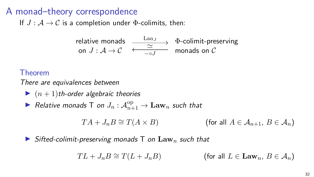### A monad–theory correspondence

If  $J: A \rightarrow C$  is a completion under  $\Phi$ -colimits, then:

$$
\begin{array}{ccc}\text{relative monads} & \xrightarrow{\text{Lan}_J} & \Phi\text{-colimit-preserving} \\ \text{on } J: \mathcal{A} \to \mathcal{C} & \xleftarrow{-\circ J} & \text{monads on } \mathcal{C}\end{array}
$$

#### Theorem

There are equivalences between

 $\blacktriangleright$   $(n+1)$ th-order algebraic theories

 $\blacktriangleright$  Relative monads T on  $J_n: \mathcal{A}_{n+1}^{\text{op}} \to \mathbf{Law}_n$  such that

 $TA + J_nB \cong T(A \times B)$  (for all  $A \in A_{n+1}, B \in A_n$ )

$$
\blacktriangleright
$$
 Sifted-colimit-preserving monads T on Law<sub>n</sub> such that

$$
TL + J_nB \cong T(L + J_nB) \qquad (\text{for all } L \in \mathbf{Law}_n, B \in \mathcal{A}_n)
$$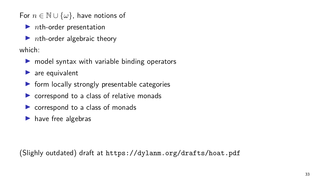For  $n \in \mathbb{N} \cup \{\omega\}$ , have notions of

▶ *nth-order presentation* 

▶ *nth-order algebraic theory* 

which:

- $\triangleright$  model syntax with variable binding operators
- $\blacktriangleright$  are equivalent
- $\triangleright$  form locally strongly presentable categories
- ▶ correspond to a class of relative monads
- ▶ correspond to a class of monads
- $\blacktriangleright$  have free algebras

(Slighly outdated) draft at https://dylanm.org/drafts/hoat.pdf